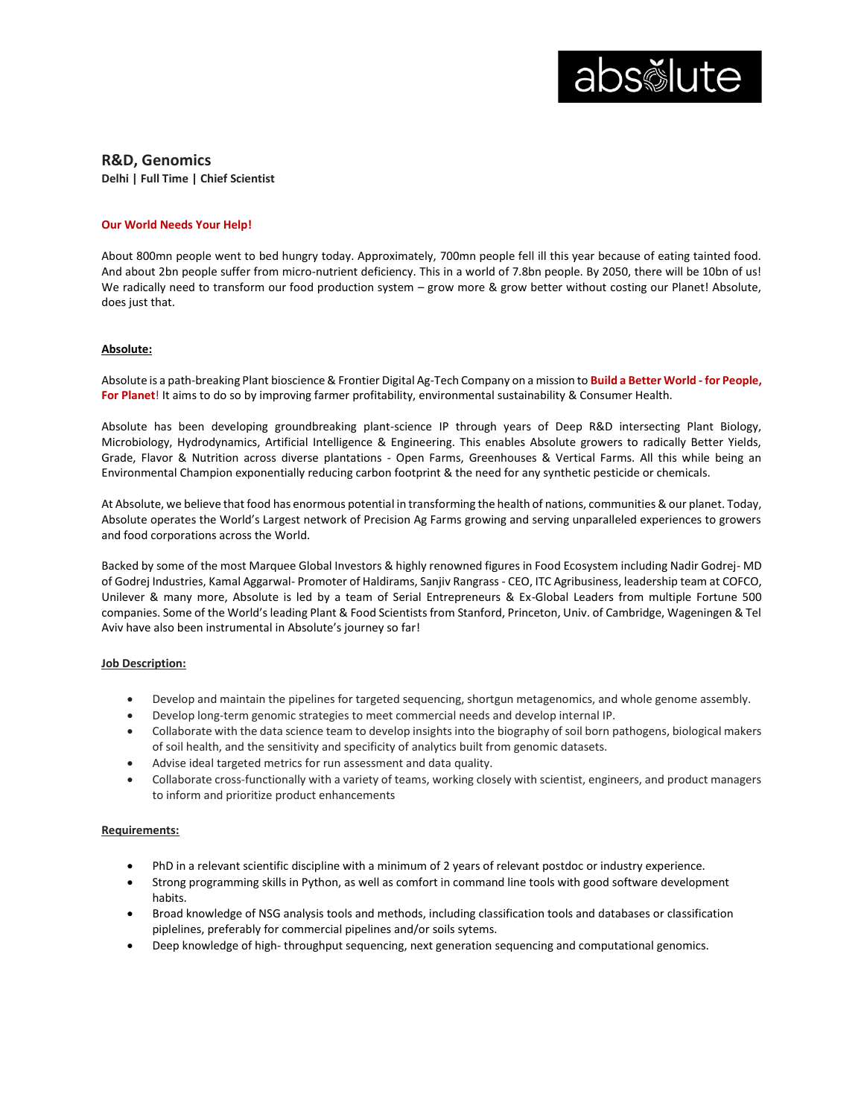

**R&D, Genomics**

**Delhi | Full Time | Chief Scientist**

## **Our World Needs Your Help!**

About 800mn people went to bed hungry today. Approximately, 700mn people fell ill this year because of eating tainted food. And about 2bn people suffer from micro-nutrient deficiency. This in a world of 7.8bn people. By 2050, there will be 10bn of us! We radically need to transform our food production system – grow more & grow better without costing our Planet! Absolute, does just that.

## **Absolute:**

Absolute is a path-breaking Plant bioscience & Frontier Digital Ag-Tech Company on a mission to **Build a Better World - for People, For Planet**! It aims to do so by improving farmer profitability, environmental sustainability & Consumer Health.

Absolute has been developing groundbreaking plant-science IP through years of Deep R&D intersecting Plant Biology, Microbiology, Hydrodynamics, Artificial Intelligence & Engineering. This enables Absolute growers to radically Better Yields, Grade, Flavor & Nutrition across diverse plantations - Open Farms, Greenhouses & Vertical Farms. All this while being an Environmental Champion exponentially reducing carbon footprint & the need for any synthetic pesticide or chemicals.

At Absolute, we believe that food has enormous potential in transforming the health of nations, communities & our planet. Today, Absolute operates the World's Largest network of Precision Ag Farms growing and serving unparalleled experiences to growers and food corporations across the World.

Backed by some of the most Marquee Global Investors & highly renowned figures in Food Ecosystem including Nadir Godrej- MD of Godrej Industries, Kamal Aggarwal- Promoter of Haldirams, Sanjiv Rangrass - CEO, ITC Agribusiness, leadership team at COFCO, Unilever & many more, Absolute is led by a team of Serial Entrepreneurs & Ex-Global Leaders from multiple Fortune 500 companies. Some of the World's leading Plant & Food Scientists from Stanford, Princeton, Univ. of Cambridge, Wageningen & Tel Aviv have also been instrumental in Absolute's journey so far!

### **Job Description:**

- Develop and maintain the pipelines for targeted sequencing, shortgun metagenomics, and whole genome assembly.
- Develop long-term genomic strategies to meet commercial needs and develop internal IP.
- Collaborate with the data science team to develop insights into the biography of soil born pathogens, biological makers of soil health, and the sensitivity and specificity of analytics built from genomic datasets.
- Advise ideal targeted metrics for run assessment and data quality.
- Collaborate cross-functionally with a variety of teams, working closely with scientist, engineers, and product managers to inform and prioritize product enhancements

### **Requirements:**

- PhD in a relevant scientific discipline with a minimum of 2 years of relevant postdoc or industry experience.
- Strong programming skills in Python, as well as comfort in command line tools with good software development habits.
- Broad knowledge of NSG analysis tools and methods, including classification tools and databases or classification piplelines, preferably for commercial pipelines and/or soils sytems.
- Deep knowledge of high- throughput sequencing, next generation sequencing and computational genomics.